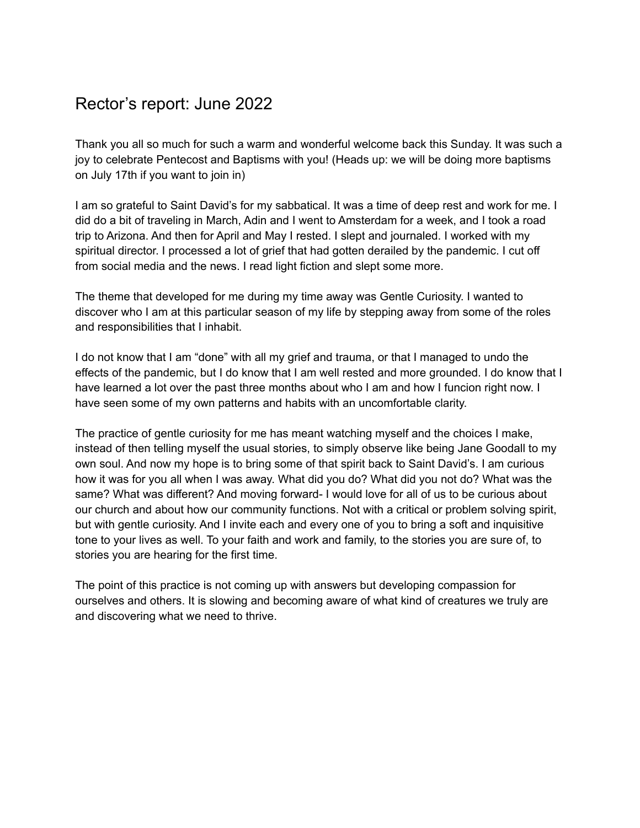### Rector's report: June 2022

Thank you all so much for such a warm and wonderful welcome back this Sunday. It was such a joy to celebrate Pentecost and Baptisms with you! (Heads up: we will be doing more baptisms on July 17th if you want to join in)

I am so grateful to Saint David's for my sabbatical. It was a time of deep rest and work for me. I did do a bit of traveling in March, Adin and I went to Amsterdam for a week, and I took a road trip to Arizona. And then for April and May I rested. I slept and journaled. I worked with my spiritual director. I processed a lot of grief that had gotten derailed by the pandemic. I cut off from social media and the news. I read light fiction and slept some more.

The theme that developed for me during my time away was Gentle Curiosity. I wanted to discover who I am at this particular season of my life by stepping away from some of the roles and responsibilities that I inhabit.

I do not know that I am "done" with all my grief and trauma, or that I managed to undo the effects of the pandemic, but I do know that I am well rested and more grounded. I do know that I have learned a lot over the past three months about who I am and how I funcion right now. I have seen some of my own patterns and habits with an uncomfortable clarity.

The practice of gentle curiosity for me has meant watching myself and the choices I make, instead of then telling myself the usual stories, to simply observe like being Jane Goodall to my own soul. And now my hope is to bring some of that spirit back to Saint David's. I am curious how it was for you all when I was away. What did you do? What did you not do? What was the same? What was different? And moving forward- I would love for all of us to be curious about our church and about how our community functions. Not with a critical or problem solving spirit, but with gentle curiosity. And I invite each and every one of you to bring a soft and inquisitive tone to your lives as well. To your faith and work and family, to the stories you are sure of, to stories you are hearing for the first time.

The point of this practice is not coming up with answers but developing compassion for ourselves and others. It is slowing and becoming aware of what kind of creatures we truly are and discovering what we need to thrive.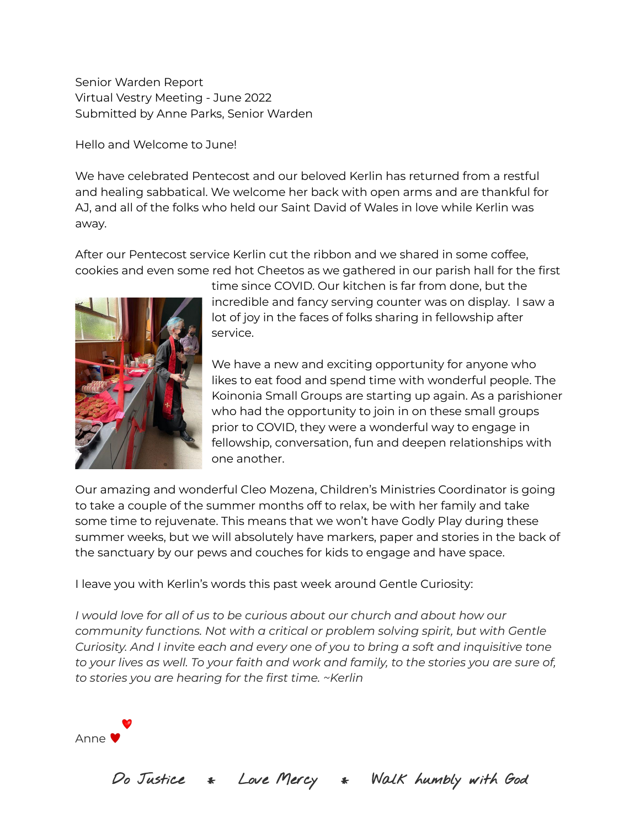Senior Warden Report Virtual Vestry Meeting - June 2022 Submitted by Anne Parks, Senior Warden

Hello and Welcome to June!

We have celebrated Pentecost and our beloved Kerlin has returned from a restful and healing sabbatical. We welcome her back with open arms and are thankful for AJ, and all of the folks who held our Saint David of Wales in love while Kerlin was away.

After our Pentecost service Kerlin cut the ribbon and we shared in some coffee, cookies and even some red hot Cheetos as we gathered in our parish hall for the first



time since COVID. Our kitchen is far from done, but the incredible and fancy serving counter was on display. I saw a lot of joy in the faces of folks sharing in fellowship after service.

We have a new and exciting opportunity for anyone who likes to eat food and spend time with wonderful people. The Koinonia Small Groups are starting up again. As a parishioner who had the opportunity to join in on these small groups prior to COVID, they were a wonderful way to engage in fellowship, conversation, fun and deepen relationships with one another.

Our amazing and wonderful Cleo Mozena, Children's Ministries Coordinator is going to take a couple of the summer months off to relax, be with her family and take some time to rejuvenate. This means that we won't have Godly Play during these summer weeks, but we will absolutely have markers, paper and stories in the back of the sanctuary by our pews and couches for kids to engage and have space.

I leave you with Kerlin's words this past week around Gentle Curiosity:

*I would love for all of us to be curious about our church and about how our community functions. Not with a critical or problem solving spirit, but with Gentle Curiosity. And I invite each and every one of you to bring a soft and inquisitive tone to your lives as well. To your faith and work and family, to the stories you are sure of, to stories you are hearing for the first time. ~Kerlin*



Do Justice \* Love Mercy \* Walk humbly with God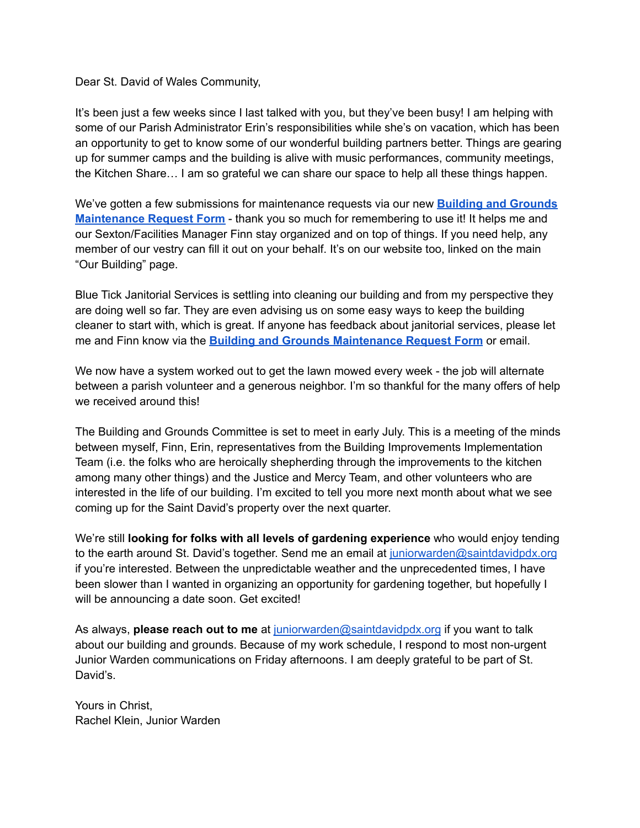Dear St. David of Wales Community,

It's been just a few weeks since I last talked with you, but they've been busy! I am helping with some of our Parish Administrator Erin's responsibilities while she's on vacation, which has been an opportunity to get to know some of our wonderful building partners better. Things are gearing up for summer camps and the building is alive with music performances, community meetings, the Kitchen Share… I am so grateful we can share our space to help all these things happen.

We've gotten a few submissions for maintenance requests via our new **Building and [Grounds](https://forms.gle/pL1RvB4Ekxf8vVQ9A) [Maintenance](https://forms.gle/pL1RvB4Ekxf8vVQ9A) Request Form** - thank you so much for remembering to use it! It helps me and our Sexton/Facilities Manager Finn stay organized and on top of things. If you need help, any member of our vestry can fill it out on your behalf. It's on our website too, linked on the main "Our Building" page.

Blue Tick Janitorial Services is settling into cleaning our building and from my perspective they are doing well so far. They are even advising us on some easy ways to keep the building cleaner to start with, which is great. If anyone has feedback about janitorial services, please let me and Finn know via the **Building and Grounds [Maintenance](https://forms.gle/pL1RvB4Ekxf8vVQ9A) Request Form** or email.

We now have a system worked out to get the lawn mowed every week - the job will alternate between a parish volunteer and a generous neighbor. I'm so thankful for the many offers of help we received around this!

The Building and Grounds Committee is set to meet in early July. This is a meeting of the minds between myself, Finn, Erin, representatives from the Building Improvements Implementation Team (i.e. the folks who are heroically shepherding through the improvements to the kitchen among many other things) and the Justice and Mercy Team, and other volunteers who are interested in the life of our building. I'm excited to tell you more next month about what we see coming up for the Saint David's property over the next quarter.

We're still **looking for folks with all levels of gardening experience** who would enjoy tending to the earth around St. David's together. Send me an email at [juniorwarden@saintdavidpdx.org](mailto:juniorwarden@saintdavidpdx.org) if you're interested. Between the unpredictable weather and the unprecedented times, I have been slower than I wanted in organizing an opportunity for gardening together, but hopefully I will be announcing a date soon. Get excited!

As always, **please reach out to me** at [juniorwarden@saintdavidpdx.org](mailto:juniorwarden@saintdavidpdx.org) if you want to talk about our building and grounds. Because of my work schedule, I respond to most non-urgent Junior Warden communications on Friday afternoons. I am deeply grateful to be part of St. David's.

Yours in Christ, Rachel Klein, Junior Warden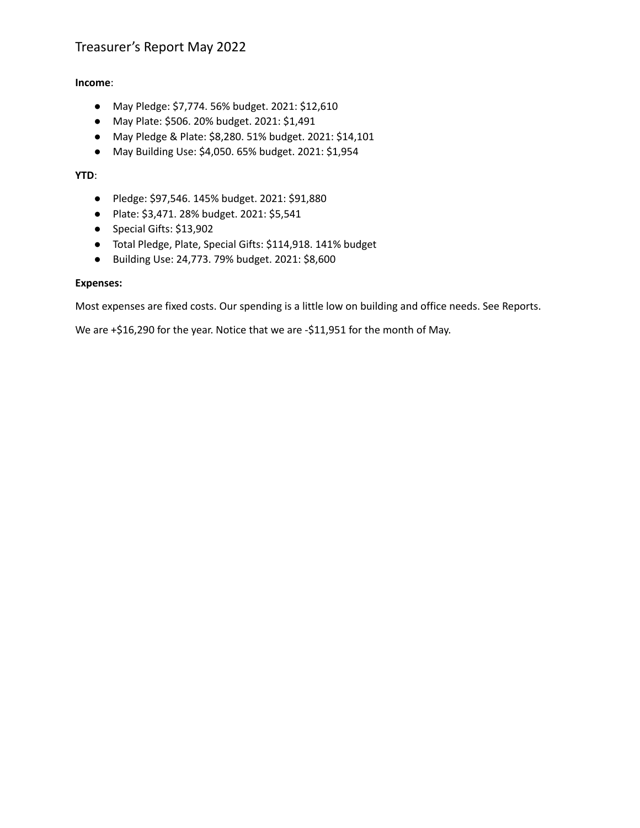### Treasurer's Report May 2022

#### **Income**:

- May Pledge: \$7,774. 56% budget. 2021: \$12,610
- May Plate: \$506. 20% budget. 2021: \$1,491
- May Pledge & Plate: \$8,280. 51% budget. 2021: \$14,101
- May Building Use: \$4,050. 65% budget. 2021: \$1,954

#### **YTD**:

- Pledge: \$97,546. 145% budget. 2021: \$91,880
- Plate: \$3,471. 28% budget. 2021: \$5,541
- Special Gifts: \$13,902
- Total Pledge, Plate, Special Gifts: \$114,918. 141% budget
- Building Use: 24,773. 79% budget. 2021: \$8,600

#### **Expenses:**

Most expenses are fixed costs. Our spending is a little low on building and office needs. See Reports.

We are +\$16,290 for the year. Notice that we are -\$11,951 for the month of May.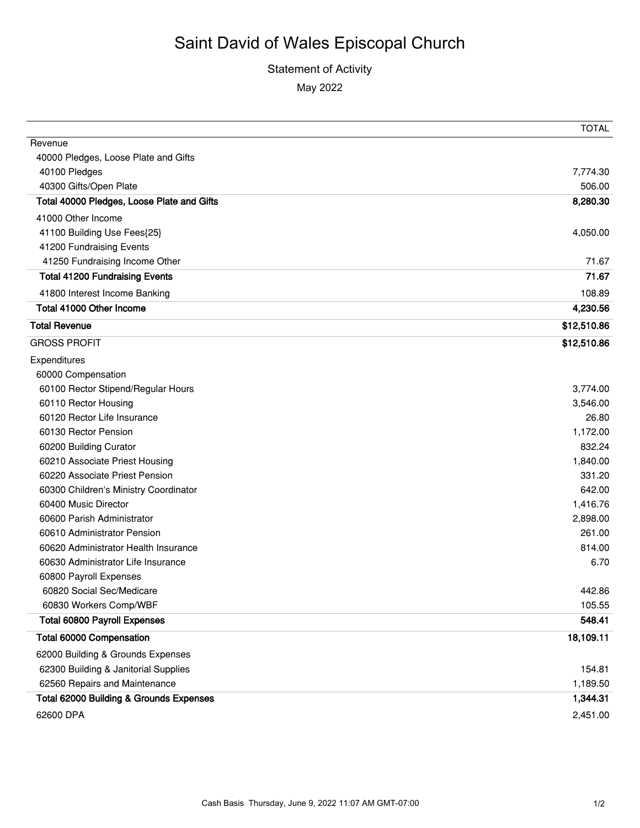### Statement of Activity May 2022

|                                            | <b>TOTAL</b> |
|--------------------------------------------|--------------|
| Revenue                                    |              |
| 40000 Pledges, Loose Plate and Gifts       |              |
| 40100 Pledges                              | 7,774.30     |
| 40300 Gifts/Open Plate                     | 506.00       |
| Total 40000 Pledges, Loose Plate and Gifts | 8,280.30     |
| 41000 Other Income                         |              |
| 41100 Building Use Fees{25}                | 4,050.00     |
| 41200 Fundraising Events                   |              |
| 41250 Fundraising Income Other             | 71.67        |
| <b>Total 41200 Fundraising Events</b>      | 71.67        |
| 41800 Interest Income Banking              | 108.89       |
| Total 41000 Other Income                   | 4,230.56     |
| <b>Total Revenue</b>                       | \$12,510.86  |
| <b>GROSS PROFIT</b>                        | \$12,510.86  |
| Expenditures                               |              |
| 60000 Compensation                         |              |
| 60100 Rector Stipend/Regular Hours         | 3,774.00     |
| 60110 Rector Housing                       | 3,546.00     |
| 60120 Rector Life Insurance                | 26.80        |
| 60130 Rector Pension                       | 1,172.00     |
| 60200 Building Curator                     | 832.24       |
| 60210 Associate Priest Housing             | 1,840.00     |
| 60220 Associate Priest Pension             | 331.20       |
| 60300 Children's Ministry Coordinator      | 642.00       |
| 60400 Music Director                       | 1,416.76     |
| 60600 Parish Administrator                 | 2,898.00     |
| 60610 Administrator Pension                | 261.00       |
| 60620 Administrator Health Insurance       | 814.00       |
| 60630 Administrator Life Insurance         | 6.70         |
| 60800 Payroll Expenses                     |              |
| 60820 Social Sec/Medicare                  | 442.86       |
| 60830 Workers Comp/WBF                     | 105.55       |
| <b>Total 60800 Payroll Expenses</b>        | 548.41       |
| Total 60000 Compensation                   | 18,109.11    |
| 62000 Building & Grounds Expenses          |              |
| 62300 Building & Janitorial Supplies       | 154.81       |
| 62560 Repairs and Maintenance              | 1,189.50     |
| Total 62000 Building & Grounds Expenses    | 1,344.31     |
| 62600 DPA                                  | 2,451.00     |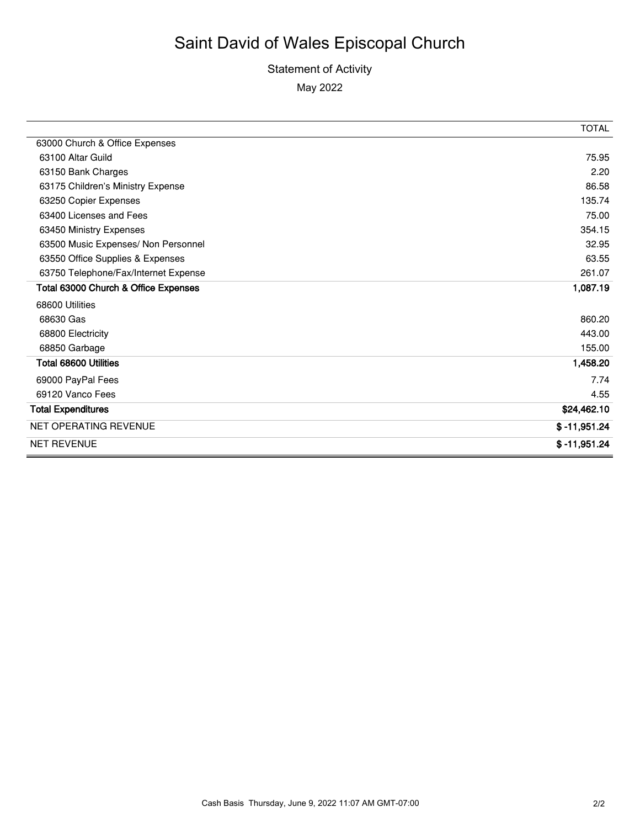### Statement of Activity May 2022

|                                      | <b>TOTAL</b>   |
|--------------------------------------|----------------|
| 63000 Church & Office Expenses       |                |
| 63100 Altar Guild                    | 75.95          |
| 63150 Bank Charges                   | 2.20           |
| 63175 Children's Ministry Expense    | 86.58          |
| 63250 Copier Expenses                | 135.74         |
| 63400 Licenses and Fees              | 75.00          |
| 63450 Ministry Expenses              | 354.15         |
| 63500 Music Expenses/ Non Personnel  | 32.95          |
| 63550 Office Supplies & Expenses     | 63.55          |
| 63750 Telephone/Fax/Internet Expense | 261.07         |
| Total 63000 Church & Office Expenses | 1,087.19       |
| 68600 Utilities                      |                |
| 68630 Gas                            | 860.20         |
| 68800 Electricity                    | 443.00         |
| 68850 Garbage                        | 155.00         |
| Total 68600 Utilities                | 1,458.20       |
| 69000 PayPal Fees                    | 7.74           |
| 69120 Vanco Fees                     | 4.55           |
| <b>Total Expenditures</b>            | \$24,462.10    |
| <b>NET OPERATING REVENUE</b>         | $$ -11,951.24$ |
| <b>NET REVENUE</b>                   | $$ -11,951.24$ |

÷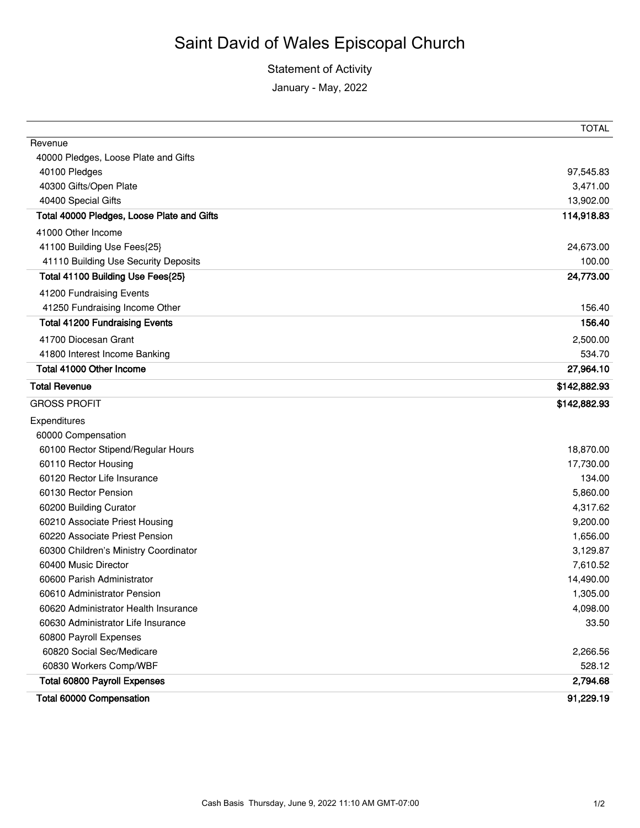Statement of Activity

January - May, 2022

|                                            | <b>TOTAL</b> |
|--------------------------------------------|--------------|
| Revenue                                    |              |
| 40000 Pledges, Loose Plate and Gifts       |              |
| 40100 Pledges                              | 97,545.83    |
| 40300 Gifts/Open Plate                     | 3,471.00     |
| 40400 Special Gifts                        | 13,902.00    |
| Total 40000 Pledges, Loose Plate and Gifts | 114,918.83   |
| 41000 Other Income                         |              |
| 41100 Building Use Fees{25}                | 24,673.00    |
| 41110 Building Use Security Deposits       | 100.00       |
| Total 41100 Building Use Fees{25}          | 24,773.00    |
| 41200 Fundraising Events                   |              |
| 41250 Fundraising Income Other             | 156.40       |
| <b>Total 41200 Fundraising Events</b>      | 156.40       |
| 41700 Diocesan Grant                       | 2,500.00     |
| 41800 Interest Income Banking              | 534.70       |
| Total 41000 Other Income                   | 27,964.10    |
| <b>Total Revenue</b>                       | \$142,882.93 |
| <b>GROSS PROFIT</b>                        | \$142,882.93 |
| Expenditures                               |              |
| 60000 Compensation                         |              |
| 60100 Rector Stipend/Regular Hours         | 18,870.00    |
| 60110 Rector Housing                       | 17,730.00    |
| 60120 Rector Life Insurance                | 134.00       |
| 60130 Rector Pension                       | 5,860.00     |
| 60200 Building Curator                     | 4,317.62     |
| 60210 Associate Priest Housing             | 9,200.00     |
| 60220 Associate Priest Pension             | 1,656.00     |
| 60300 Children's Ministry Coordinator      | 3,129.87     |
| 60400 Music Director                       | 7,610.52     |
| 60600 Parish Administrator                 | 14,490.00    |
| 60610 Administrator Pension                | 1,305.00     |
| 60620 Administrator Health Insurance       | 4,098.00     |
| 60630 Administrator Life Insurance         | 33.50        |
| 60800 Payroll Expenses                     |              |
| 60820 Social Sec/Medicare                  | 2,266.56     |
| 60830 Workers Comp/WBF                     | 528.12       |
| <b>Total 60800 Payroll Expenses</b>        | 2,794.68     |
| Total 60000 Compensation                   | 91,229.19    |